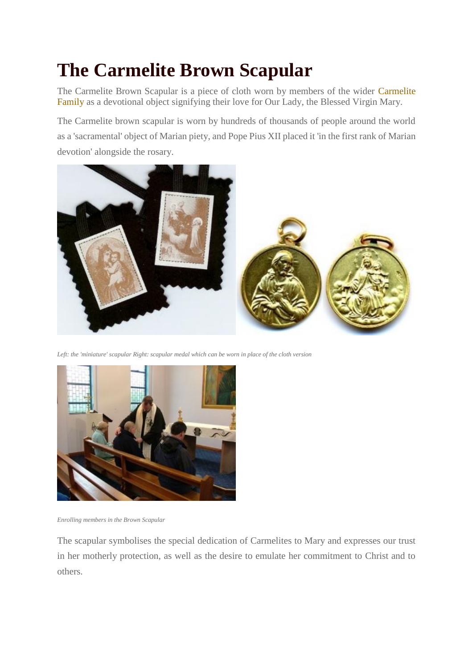## **The Carmelite Brown Scapular**

The Carmelite Brown Scapular is a piece of cloth worn by members of the wider [Carmelite](http://www.carmelite.org/family)  [Family a](http://www.carmelite.org/family)s a devotional object signifying their love for Our Lady, the Blessed Virgin Mary.

The Carmelite brown scapular is worn by hundreds of thousands of people around the world as a 'sacramental' object of Marian piety, and Pope Pius XII placed it 'in the first rank of Marian devotion' alongside the rosary.



*Left: the 'miniature' scapular Right: scapular medal which can be worn in place of the cloth version*



*Enrolling members in the Brown Scapular*

The scapular symbolises the special dedication of Carmelites to Mary and expresses our trust in her motherly protection, as well as the desire to emulate her commitment to Christ and to others.